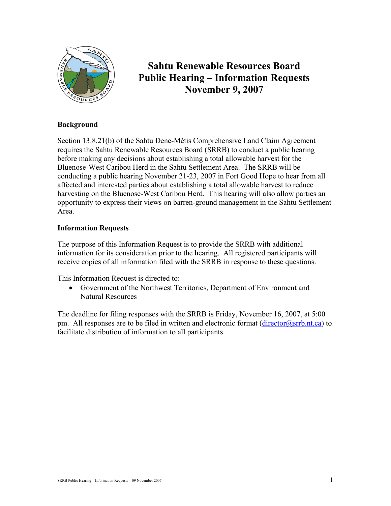

# **Sahtu Renewable Resources Board Public Hearing – Information Requests November 9, 2007**

## **Background**

Section 13.8.21(b) of the Sahtu Dene-Métis Comprehensive Land Claim Agreement requires the Sahtu Renewable Resources Board (SRRB) to conduct a public hearing before making any decisions about establishing a total allowable harvest for the Bluenose-West Caribou Herd in the Sahtu Settlement Area. The SRRB will be conducting a public hearing November 21-23, 2007 in Fort Good Hope to hear from all affected and interested parties about establishing a total allowable harvest to reduce harvesting on the Bluenose-West Caribou Herd. This hearing will also allow parties an opportunity to express their views on barren-ground management in the Sahtu Settlement Area.

## **Information Requests**

The purpose of this Information Request is to provide the SRRB with additional information for its consideration prior to the hearing. All registered participants will receive copies of all information filed with the SRRB in response to these questions.

This Information Request is directed to:

• Government of the Northwest Territories, Department of Environment and Natural Resources

The deadline for filing responses with the SRRB is Friday, November 16, 2007, at 5:00 pm. All responses are to be filed in written and electronic format  $(\text{director}(a)$ srrb.nt.ca) to facilitate distribution of information to all participants.